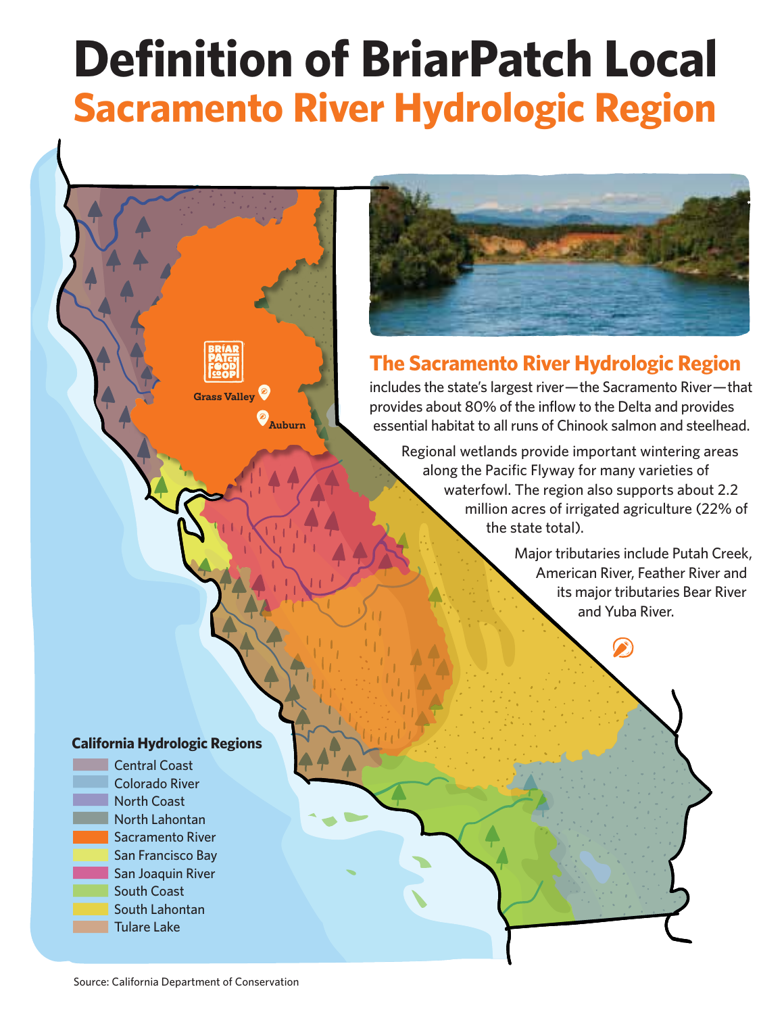## **Definition of BriarPatch Local Sacramento River Hydrologic Region**



## **The Sacramento River Hydrologic Region**

includes the state's largest river— the Sacramento River— that provides about 80% of the inflow to the Delta and provides essential habitat to all runs of Chinook salmon and steelhead.

Regional wetlands provide important wintering areas along the Pacific Flyway for many varieties of waterfowl. The region also supports about 2.2 million acres of irrigated agriculture (22% of the state total).

> Major tributaries include Putah Creek, American River, Feather River and its major tributaries Bear River and Yuba River.

## **California Hydrologic Regions**

**Grass Valley**

**Auburn**



Source: California Department of Conservation